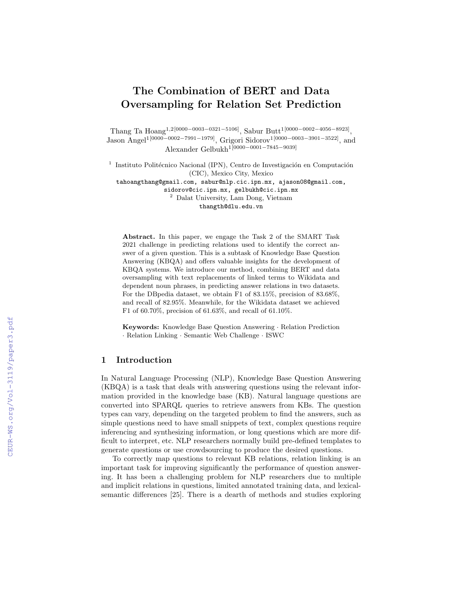# The Combination of BERT and Data Oversampling for Relation Set Prediction

Thang Ta Hoang<sup>1,2[0000–0003–0321–5106]</sup>, Sabur Butt<sup>1[0000–0002–4056–8923]</sup>, Jason Angel1[0000−0002−7991−1979], Grigori Sidorov1[0000−0003−3901−3522], and Alexander Gelbukh<sup>1[0000−0001−7845−9039]</sup>

<sup>1</sup> Instituto Politécnico Nacional (IPN), Centro de Investigación en Computación (CIC), Mexico City, Mexico

tahoangthang@gmail.com, sabur@nlp.cic.ipn.mx, ajason08@gmail.com, sidorov@cic.ipn.mx, gelbukh@cic.ipn.mx <sup>2</sup> Dalat University, Lam Dong, Vietnam

thangth@dlu.edu.vn

Abstract. In this paper, we engage the Task 2 of the SMART Task 2021 challenge in predicting relations used to identify the correct answer of a given question. This is a subtask of Knowledge Base Question Answering (KBQA) and offers valuable insights for the development of KBQA systems. We introduce our method, combining BERT and data oversampling with text replacements of linked terms to Wikidata and dependent noun phrases, in predicting answer relations in two datasets. For the DBpedia dataset, we obtain F1 of 83.15%, precision of 83.68%, and recall of 82.95%. Meanwhile, for the Wikidata dataset we achieved F1 of 60.70%, precision of 61.63%, and recall of 61.10%.

Keywords: Knowledge Base Question Answering · Relation Prediction · Relation Linking · Semantic Web Challenge · ISWC

## 1 Introduction

In Natural Language Processing (NLP), Knowledge Base Question Answering (KBQA) is a task that deals with answering questions using the relevant information provided in the knowledge base (KB). Natural language questions are converted into SPARQL queries to retrieve answers from KBs. The question types can vary, depending on the targeted problem to find the answers, such as simple questions need to have small snippets of text, complex questions require inferencing and synthesizing information, or long questions which are more difficult to interpret, etc. NLP researchers normally build pre-defined templates to generate questions or use crowdsourcing to produce the desired questions.

To correctly map questions to relevant KB relations, relation linking is an important task for improving significantly the performance of question answering. It has been a challenging problem for NLP researchers due to multiple and implicit relations in questions, limited annotated training data, and lexicalsemantic differences [25]. There is a dearth of methods and studies exploring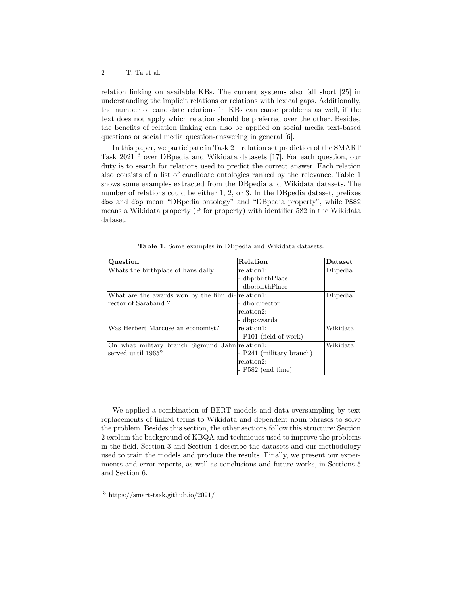relation linking on available KBs. The current systems also fall short [25] in understanding the implicit relations or relations with lexical gaps. Additionally, the number of candidate relations in KBs can cause problems as well, if the text does not apply which relation should be preferred over the other. Besides, the benefits of relation linking can also be applied on social media text-based questions or social media question-answering in general [6].

In this paper, we participate in Task 2 – relation set prediction of the SMART Task 2021 <sup>3</sup> over DBpedia and Wikidata datasets [17]. For each question, our duty is to search for relations used to predict the correct answer. Each relation also consists of a list of candidate ontologies ranked by the relevance. Table 1 shows some examples extracted from the DBpedia and Wikidata datasets. The number of relations could be either 1, 2, or 3. In the DB pedia dataset, prefixes dbo and dbp mean "DBpedia ontology" and "DBpedia property", while P582 means a Wikidata property (P for property) with identifier 582 in the Wikidata dataset.

| Question                                           | Relation                 | $\mathbf{D}\text{at }$ |
|----------------------------------------------------|--------------------------|------------------------|
| Whats the birthplace of hans dally                 | relation1:               | $DB$ pedia             |
|                                                    | - dbp:birthPlace         |                        |
|                                                    | - dbo:birthPlace         |                        |
| What are the awards won by the film di- relation1: |                          | $DB$ pedia             |
| rector of Saraband?                                | - dbo:director           |                        |
|                                                    | relation2:               |                        |
|                                                    | - dbp:awards             |                        |
| Was Herbert Marcuse an economist?                  | relation1:               | Wikidata               |
|                                                    | $-$ P101 (field of work) |                        |
| On what military branch Sigmund Jähn relation 1:   |                          | Wikidata               |
| served until 1965?                                 | - P241 (military branch) |                        |
|                                                    | relation2:               |                        |
|                                                    | $- P582$ (end time)      |                        |

Table 1. Some examples in DBpedia and Wikidata datasets.

We applied a combination of BERT models and data oversampling by text replacements of linked terms to Wikidata and dependent noun phrases to solve the problem. Besides this section, the other sections follow this structure: Section 2 explain the background of KBQA and techniques used to improve the problems in the field. Section 3 and Section 4 describe the datasets and our methodology used to train the models and produce the results. Finally, we present our experiments and error reports, as well as conclusions and future works, in Sections 5 and Section 6.

<sup>3</sup> https://smart-task.github.io/2021/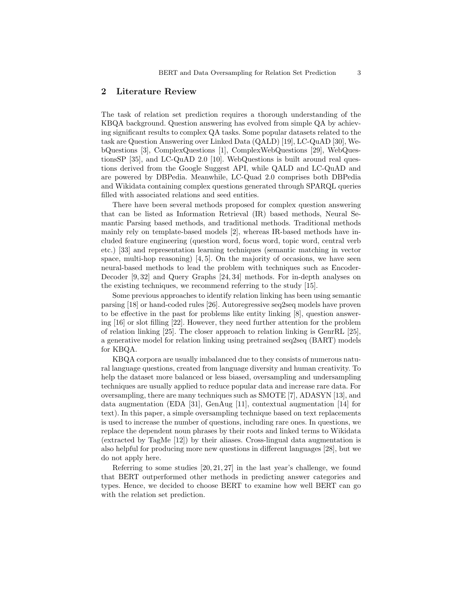## 2 Literature Review

The task of relation set prediction requires a thorough understanding of the KBQA background. Question answering has evolved from simple QA by achieving significant results to complex QA tasks. Some popular datasets related to the task are Question Answering over Linked Data (QALD) [19], LC-QuAD [30], WebQuestions [3], ComplexQuestions [1], ComplexWebQuestions [29], WebQuestionsSP [35], and LC-QuAD 2.0 [10]. WebQuestions is built around real questions derived from the Google Suggest API, while QALD and LC-QuAD and are powered by DBPedia. Meanwhile, LC-Quad 2.0 comprises both DBPedia and Wikidata containing complex questions generated through SPARQL queries filled with associated relations and seed entities.

There have been several methods proposed for complex question answering that can be listed as Information Retrieval (IR) based methods, Neural Semantic Parsing based methods, and traditional methods. Traditional methods mainly rely on template-based models [2], whereas IR-based methods have included feature engineering (question word, focus word, topic word, central verb etc.) [33] and representation learning techniques (semantic matching in vector space, multi-hop reasoning)  $[4, 5]$ . On the majority of occasions, we have seen neural-based methods to lead the problem with techniques such as Encoder-Decoder [9, 32] and Query Graphs [24, 34] methods. For in-depth analyses on the existing techniques, we recommend referring to the study [15].

Some previous approaches to identify relation linking has been using semantic parsing [18] or hand-coded rules [26]. Autoregressive seq2seq models have proven to be effective in the past for problems like entity linking [8], question answering [16] or slot filling [22]. However, they need further attention for the problem of relation linking [25]. The closer approach to relation linking is GenrRL [25], a generative model for relation linking using pretrained seq2seq (BART) models for KBQA.

KBQA corpora are usually imbalanced due to they consists of numerous natural language questions, created from language diversity and human creativity. To help the dataset more balanced or less biased, oversampling and undersampling techniques are usually applied to reduce popular data and increase rare data. For oversampling, there are many techniques such as SMOTE [7], ADASYN [13], and data augmentation (EDA [31], GenAug [11], contextual augmentation [14] for text). In this paper, a simple oversampling technique based on text replacements is used to increase the number of questions, including rare ones. In questions, we replace the dependent noun phrases by their roots and linked terms to Wikidata (extracted by TagMe [12]) by their aliases. Cross-lingual data augmentation is also helpful for producing more new questions in different languages [28], but we do not apply here.

Referring to some studies  $[20, 21, 27]$  in the last year's challenge, we found that BERT outperformed other methods in predicting answer categories and types. Hence, we decided to choose BERT to examine how well BERT can go with the relation set prediction.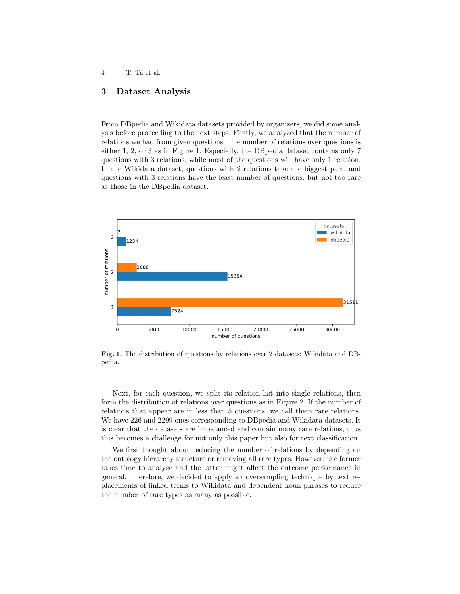# 3 Dataset Analysis

From DBpedia and Wikidata datasets provided by organizers, we did some analysis before proceeding to the next steps. Firstly, we analyzed that the number of relations we had from given questions. The number of relations over questions is either 1, 2, or 3 as in Figure 1. Especially, the DBpedia dataset contains only 7 questions with 3 relations, while most of the questions will have only 1 relation. In the Wikidata dataset, questions with 2 relations take the biggest part, and questions with 3 relations have the least number of questions, but not too rare as those in the DBpedia dataset.



Fig. 1. The distribution of questions by relations over 2 datasets: Wikidata and DBpedia.

Next, for each question, we split its relation list into single relations, then form the distribution of relations over questions as in Figure 2. If the number of relations that appear are in less than 5 questions, we call them rare relations. We have 226 and 2299 ones corresponding to DBpedia and Wikidata datasets. It is clear that the datasets are imbalanced and contain many rare relations, thus this becomes a challenge for not only this paper but also for text classification.

We first thought about reducing the number of relations by depending on the ontology hierarchy structure or removing all rare types. However, the former takes time to analyze and the latter might affect the outcome performance in general. Therefore, we decided to apply an oversampling technique by text replacements of linked terms to Wikidata and dependent noun phrases to reduce the number of rare types as many as possible.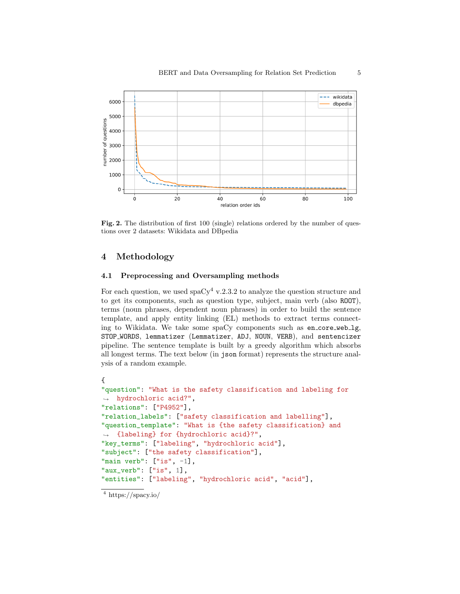

Fig. 2. The distribution of first 100 (single) relations ordered by the number of questions over 2 datasets: Wikidata and DBpedia

# 4 Methodology

# 4.1 Preprocessing and Oversampling methods

For each question, we used  $\text{spaCy}^4$  v.2.3.2 to analyze the question structure and to get its components, such as question type, subject, main verb (also ROOT), terms (noun phrases, dependent noun phrases) in order to build the sentence template, and apply entity linking (EL) methods to extract terms connecting to Wikidata. We take some spaCy components such as en\_core\_web\_lg, STOP WORDS, lemmatizer (Lemmatizer, ADJ, NOUN, VERB), and sentencizer pipeline. The sentence template is built by a greedy algorithm which absorbs all longest terms. The text below (in json format) represents the structure analysis of a random example.

```
{
"question": "What is the safety classification and labeling for
\rightarrow hydrochloric acid?",
"relations": ["P4952"],
"relation_labels": ["safety classification and labelling"],
"question_template": "What is {the safety classification} and
,→ {labeling} for {hydrochloric acid}?",
"key_terms": ["labeling", "hydrochloric acid"],
"subject": ["the safety classification"],
"main verb": ["is", -1],
"aux_verb": ["is", 1],
"entities": ["labeling", "hydrochloric acid", "acid"],
```
 $\frac{4}{4}$  https://spacy.io/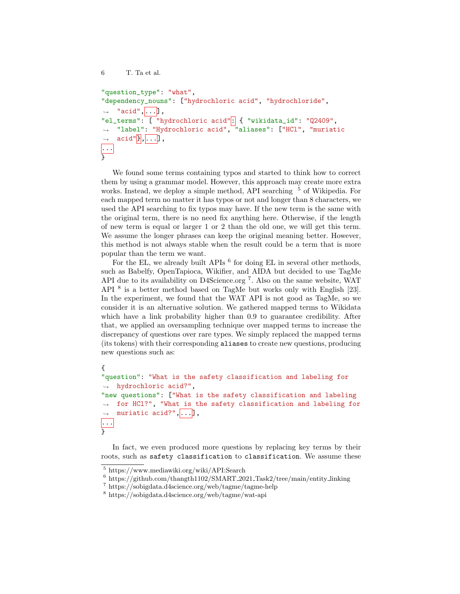```
6 T. Ta et al.
"question_type": "what",
"dependency_nouns": ["hydrochloric acid", "hydrochloride",
\rightarrow "acid",...],
"el_terms": [ "hydrochloric acid": { "wikidata_id": "Q2409",
     "label": "Hydrochloric acid", "aliases": ["HCl", "muriatic
     \text{acid}"\vert,...],
\hookrightarrow\leftrightarrow...
\overline{ }
```
We found some terms containing typos and started to think how to correct them by using a grammar model. However, this approach may create more extra works. Instead, we deploy a simple method, API searching  $5$  of Wikipedia. For each mapped term no matter it has typos or not and longer than 8 characters, we used the API searching to fix typos may have. If the new term is the same with the original term, there is no need fix anything here. Otherwise, if the length of new term is equal or larger 1 or 2 than the old one, we will get this term. We assume the longer phrases can keep the original meaning better. However, this method is not always stable when the result could be a term that is more popular than the term we want.

For the EL, we already built APIs  $^6$  for doing EL in several other methods, such as Babelfy, OpenTapioca, Wikifier, and AIDA but decided to use TagMe API due to its availability on D4Science.org<sup>7</sup>. Also on the same website, WAT API<sup>8</sup> is a better method based on TagMe but works only with English [23]. In the experiment, we found that the WAT API is not good as TagMe, so we consider it is an alternative solution. We gathered mapped terms to Wikidata which have a link probability higher than 0.9 to guarantee credibility. After that, we applied an oversampling technique over mapped terms to increase the discrepancy of questions over rare types. We simply replaced the mapped terms (its tokens) with their corresponding aliases to create new questions, producing new questions such as:

```
{
"question": "What is the safety classification and labeling for
\rightarrow hydrochloric acid?",
"new questions": ["What is the safety classification and labeling
\rightarrow for HCl?", "What is the safety classification and labeling for
    muriatic acid?",...],
\hookrightarrow...
}
```
In fact, we even produced more questions by replacing key terms by their roots, such as safety classification to classification. We assume these

<sup>5</sup> https://www.mediawiki.org/wiki/API:Search

<sup>6</sup> https://github.com/thangth1102/SMART 2021 Task2/tree/main/entity linking

<sup>7</sup> https://sobigdata.d4science.org/web/tagme/tagme-help

<sup>8</sup> https://sobigdata.d4science.org/web/tagme/wat-api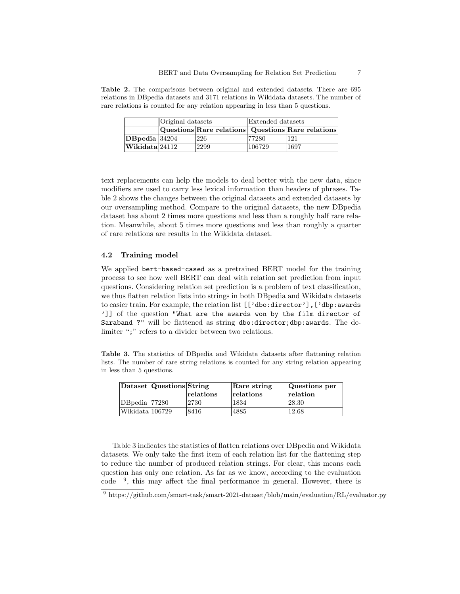Table 2. The comparisons between original and extended datasets. There are 695 relations in DBpedia datasets and 3171 relations in Wikidata datasets. The number of rare relations is counted for any relation appearing in less than 5 questions.

|                                       | Original datasets |                                                   | Extended datasets |      |  |
|---------------------------------------|-------------------|---------------------------------------------------|-------------------|------|--|
|                                       |                   | Questions Rare relations Questions Rare relations |                   |      |  |
| $ DB$ pedia $ 34204$                  |                   | 226                                               | 77280             | 121  |  |
| $ \mathbf{W}$ ikidata $ 24112\rangle$ |                   | 2299                                              | 106729            | 1697 |  |

text replacements can help the models to deal better with the new data, since modifiers are used to carry less lexical information than headers of phrases. Table 2 shows the changes between the original datasets and extended datasets by our oversampling method. Compare to the original datasets, the new DBpedia dataset has about 2 times more questions and less than a roughly half rare relation. Meanwhile, about 5 times more questions and less than roughly a quarter of rare relations are results in the Wikidata dataset.

#### 4.2 Training model

We applied bert-based-cased as a pretrained BERT model for the training process to see how well BERT can deal with relation set prediction from input questions. Considering relation set prediction is a problem of text classification, we thus flatten relation lists into strings in both DBpedia and Wikidata datasets to easier train. For example, the relation list [['dbo:director'],['dbp:awards ']] of the question "What are the awards won by the film director of Saraband ?" will be flattened as string dbo:director;dbp:awards. The delimiter ";" refers to a divider between two relations.

Table 3. The statistics of DBpedia and Wikidata datasets after flattening relation lists. The number of rare string relations is counted for any string relation appearing in less than 5 questions.

|                 | Dataset Questions String |           | Rare string | Questions per |  |
|-----------------|--------------------------|-----------|-------------|---------------|--|
|                 |                          | relations | relations   | relation      |  |
| DB pedia 77280  |                          | 2730      | 1834        | 28.30         |  |
| Wikidata 106729 |                          | 8416      | 4885        | 12.68         |  |

Table 3 indicates the statistics of flatten relations over DBpedia and Wikidata datasets. We only take the first item of each relation list for the flattening step to reduce the number of produced relation strings. For clear, this means each question has only one relation. As far as we know, according to the evaluation code <sup>9</sup> , this may affect the final performance in general. However, there is

<sup>9</sup> https://github.com/smart-task/smart-2021-dataset/blob/main/evaluation/RL/evaluator.py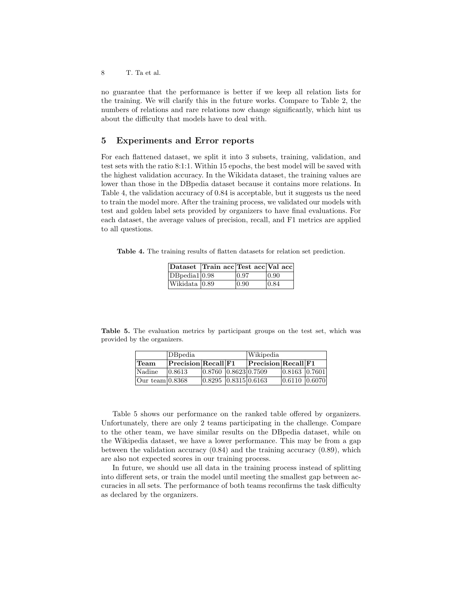8 T. Ta et al.

no guarantee that the performance is better if we keep all relation lists for the training. We will clarify this in the future works. Compare to Table 2, the numbers of relations and rare relations now change significantly, which hint us about the difficulty that models have to deal with.

# 5 Experiments and Error reports

For each flattened dataset, we split it into 3 subsets, training, validation, and test sets with the ratio 8:1:1. Within 15 epochs, the best model will be saved with the highest validation accuracy. In the Wikidata dataset, the training values are lower than those in the DBpedia dataset because it contains more relations. In Table 4, the validation accuracy of 0.84 is acceptable, but it suggests us the need to train the model more. After the training process, we validated our models with test and golden label sets provided by organizers to have final evaluations. For each dataset, the average values of precision, recall, and F1 metrics are applied to all questions.

Table 4. The training results of flatten datasets for relation set prediction.

|                 | Dataset Train acc Test acc Val acc |                |                |
|-----------------|------------------------------------|----------------|----------------|
| DBpedia1 0.98   |                                    | 0.97           | $ 0.90\rangle$ |
| Wikidata   0.89 |                                    | $ 0.90\rangle$ | 0.84           |

Table 5. The evaluation metrics by participant groups on the test set, which was provided by the organizers.

|                 | <b>DB</b> bedia     |                      | Wikipedia |                     |                        |  |
|-----------------|---------------------|----------------------|-----------|---------------------|------------------------|--|
| <b>Team</b>     | Precision Recall F1 |                      |           | Precision Recall F1 |                        |  |
| <i>Nadine</i>   | 0.8613              | 0.8760 0.8623 0.7509 |           |                     | 0.8163 0.7601          |  |
| Our team 0.8368 |                     | 0.8295 0.8315 0.6163 |           |                     | $[0.6110 \;   0.6070]$ |  |

Table 5 shows our performance on the ranked table offered by organizers. Unfortunately, there are only 2 teams participating in the challenge. Compare to the other team, we have similar results on the DBpedia dataset, while on the Wikipedia dataset, we have a lower performance. This may be from a gap between the validation accuracy (0.84) and the training accuracy (0.89), which are also not expected scores in our training process.

In future, we should use all data in the training process instead of splitting into different sets, or train the model until meeting the smallest gap between accuracies in all sets. The performance of both teams reconfirms the task difficulty as declared by the organizers.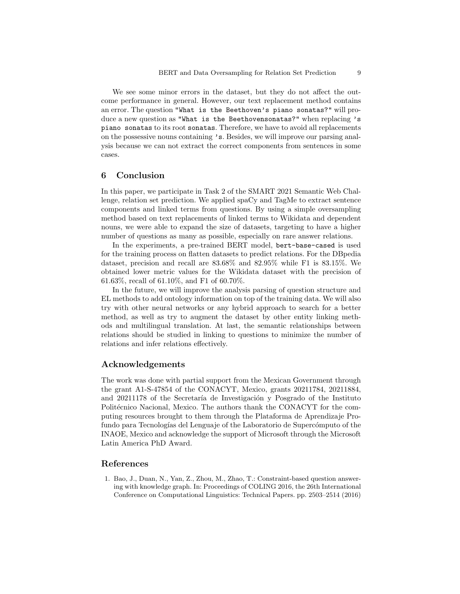We see some minor errors in the dataset, but they do not affect the outcome performance in general. However, our text replacement method contains an error. The question "What is the Beethoven's piano sonatas?" will produce a new question as "What is the Beethovensonatas?" when replacing 's piano sonatas to its root sonatas. Therefore, we have to avoid all replacements on the possessive nouns containing 's. Besides, we will improve our parsing analysis because we can not extract the correct components from sentences in some cases.

## 6 Conclusion

In this paper, we participate in Task 2 of the SMART 2021 Semantic Web Challenge, relation set prediction. We applied spaCy and TagMe to extract sentence components and linked terms from questions. By using a simple oversampling method based on text replacements of linked terms to Wikidata and dependent nouns, we were able to expand the size of datasets, targeting to have a higher number of questions as many as possible, especially on rare answer relations.

In the experiments, a pre-trained BERT model, bert-base-cased is used for the training process on flatten datasets to predict relations. For the DBpedia dataset, precision and recall are 83.68% and 82.95% while F1 is 83.15%. We obtained lower metric values for the Wikidata dataset with the precision of 61.63%, recall of 61.10%, and F1 of 60.70%.

In the future, we will improve the analysis parsing of question structure and EL methods to add ontology information on top of the training data. We will also try with other neural networks or any hybrid approach to search for a better method, as well as try to augment the dataset by other entity linking methods and multilingual translation. At last, the semantic relationships between relations should be studied in linking to questions to minimize the number of relations and infer relations effectively.

## Acknowledgements

The work was done with partial support from the Mexican Government through the grant A1-S-47854 of the CONACYT, Mexico, grants 20211784, 20211884, and 20211178 of the Secretaría de Investigación y Posgrado of the Instituto Politécnico Nacional, Mexico. The authors thank the CONACYT for the computing resources brought to them through the Plataforma de Aprendizaje Profundo para Tecnologías del Lenguaje of the Laboratorio de Supercómputo of the INAOE, Mexico and acknowledge the support of Microsoft through the Microsoft Latin America PhD Award.

### References

1. Bao, J., Duan, N., Yan, Z., Zhou, M., Zhao, T.: Constraint-based question answering with knowledge graph. In: Proceedings of COLING 2016, the 26th International Conference on Computational Linguistics: Technical Papers. pp. 2503–2514 (2016)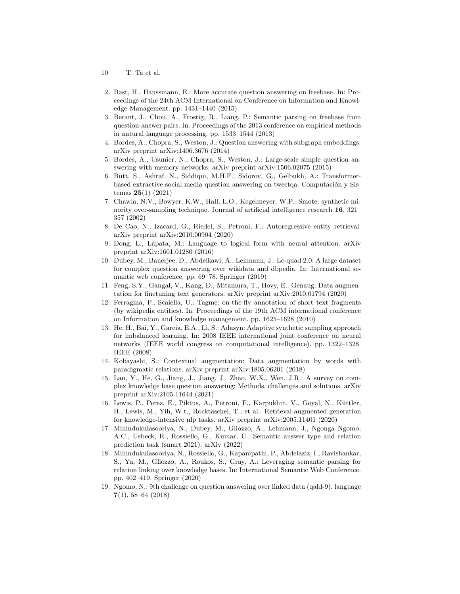- 10 T. Ta et al.
- 2. Bast, H., Haussmann, E.: More accurate question answering on freebase. In: Proceedings of the 24th ACM International on Conference on Information and Knowledge Management. pp. 1431–1440 (2015)
- 3. Berant, J., Chou, A., Frostig, R., Liang, P.: Semantic parsing on freebase from question-answer pairs. In: Proceedings of the 2013 conference on empirical methods in natural language processing. pp. 1533–1544 (2013)
- 4. Bordes, A., Chopra, S., Weston, J.: Question answering with subgraph embeddings. arXiv preprint arXiv:1406.3676 (2014)
- 5. Bordes, A., Usunier, N., Chopra, S., Weston, J.: Large-scale simple question answering with memory networks. arXiv preprint arXiv:1506.02075 (2015)
- 6. Butt, S., Ashraf, N., Siddiqui, M.H.F., Sidorov, G., Gelbukh, A.: Transformerbased extractive social media question answering on tweetqa. Computación y Sistemas  $25(1)$  (2021)
- 7. Chawla, N.V., Bowyer, K.W., Hall, L.O., Kegelmeyer, W.P.: Smote: synthetic minority over-sampling technique. Journal of artificial intelligence research 16, 321– 357 (2002)
- 8. De Cao, N., Izacard, G., Riedel, S., Petroni, F.: Autoregressive entity retrieval. arXiv preprint arXiv:2010.00904 (2020)
- 9. Dong, L., Lapata, M.: Language to logical form with neural attention. arXiv preprint arXiv:1601.01280 (2016)
- 10. Dubey, M., Banerjee, D., Abdelkawi, A., Lehmann, J.: Lc-quad 2.0: A large dataset for complex question answering over wikidata and dbpedia. In: International semantic web conference. pp. 69–78. Springer (2019)
- 11. Feng, S.Y., Gangal, V., Kang, D., Mitamura, T., Hovy, E.: Genaug: Data augmentation for finetuning text generators. arXiv preprint arXiv:2010.01794 (2020)
- 12. Ferragina, P., Scaiella, U.: Tagme: on-the-fly annotation of short text fragments (by wikipedia entities). In: Proceedings of the 19th ACM international conference on Information and knowledge management. pp. 1625–1628 (2010)
- 13. He, H., Bai, Y., Garcia, E.A., Li, S.: Adasyn: Adaptive synthetic sampling approach for imbalanced learning. In: 2008 IEEE international joint conference on neural networks (IEEE world congress on computational intelligence). pp. 1322–1328. IEEE (2008)
- 14. Kobayashi, S.: Contextual augmentation: Data augmentation by words with paradigmatic relations. arXiv preprint arXiv:1805.06201 (2018)
- 15. Lan, Y., He, G., Jiang, J., Jiang, J., Zhao, W.X., Wen, J.R.: A survey on complex knowledge base question answering: Methods, challenges and solutions. arXiv preprint arXiv:2105.11644 (2021)
- 16. Lewis, P., Perez, E., Piktus, A., Petroni, F., Karpukhin, V., Goyal, N., Küttler, H., Lewis, M., Yih, W.t., Rocktäschel, T., et al.: Retrieval-augmented generation for knowledge-intensive nlp tasks. arXiv preprint arXiv:2005.11401 (2020)
- 17. Mihindukulasooriya, N., Dubey, M., Gliozzo, A., Lehmann, J., Ngonga Ngomo, A.C., Usbeck, R., Rossiello, G., Kumar, U.: Semantic answer type and relation prediction task (smart 2021). arXiv (2022)
- 18. Mihindukulasooriya, N., Rossiello, G., Kapanipathi, P., Abdelaziz, I., Ravishankar, S., Yu, M., Gliozzo, A., Roukos, S., Gray, A.: Leveraging semantic parsing for relation linking over knowledge bases. In: International Semantic Web Conference. pp. 402–419. Springer (2020)
- 19. Ngomo, N.: 9th challenge on question answering over linked data (qald-9). language 7(1), 58–64 (2018)